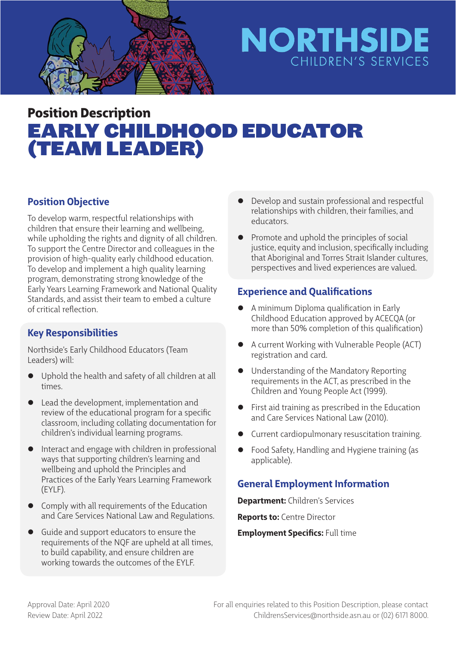

# **NORTHSIDE** CHILDREN'S SERVICES

## Position Description EARLY CHILDHOOD EDUCATOR (TEAM LEADER)

### **Position Objective**

To develop warm, respectful relationships with children that ensure their learning and wellbeing, while upholding the rights and dignity of all children. To support the Centre Director and colleagues in the provision of high-quality early childhood education. To develop and implement a high quality learning program, demonstrating strong knowledge of the Early Years Learning Framework and National Quality Standards, and assist their team to embed a culture of critical reflection.

### **Key Responsibilities**

Northside's Early Childhood Educators (Team Leaders) will:

- Uphold the health and safety of all children at all times.
- Lead the development, implementation and review of the educational program for a specific classroom, including collating documentation for children's individual learning programs.
- Interact and engage with children in professional ways that supporting children's learning and wellbeing and uphold the Principles and Practices of the Early Years Learning Framework (EYLF).
- $\bullet$  Comply with all requirements of the Education and Care Services National Law and Regulations.
- Guide and support educators to ensure the requirements of the NQF are upheld at all times, to build capability, and ensure children are working towards the outcomes of the EYLF.
- Develop and sustain professional and respectful relationships with children, their families, and educators.
- Promote and uphold the principles of social justice, equity and inclusion, specifically including that Aboriginal and Torres Strait Islander cultures, perspectives and lived experiences are valued.

#### **Experience and Qualifications**

- A minimum Diploma qualification in Early Childhood Education approved by ACECQA (or more than 50% completion of this qualification)
- A current Working with Vulnerable People (ACT) registration and card.
- Understanding of the Mandatory Reporting requirements in the ACT, as prescribed in the Children and Young People Act (1999).
- $\bullet$  First aid training as prescribed in the Education and Care Services National Law (2010).
- **•** Current cardiopulmonary resuscitation training.
- Food Safety, Handling and Hygiene training (as applicable).

### **General Employment Information**

**Department:** Children's Services **Reports to:** Centre Director

**Employment Specifics: Full time**